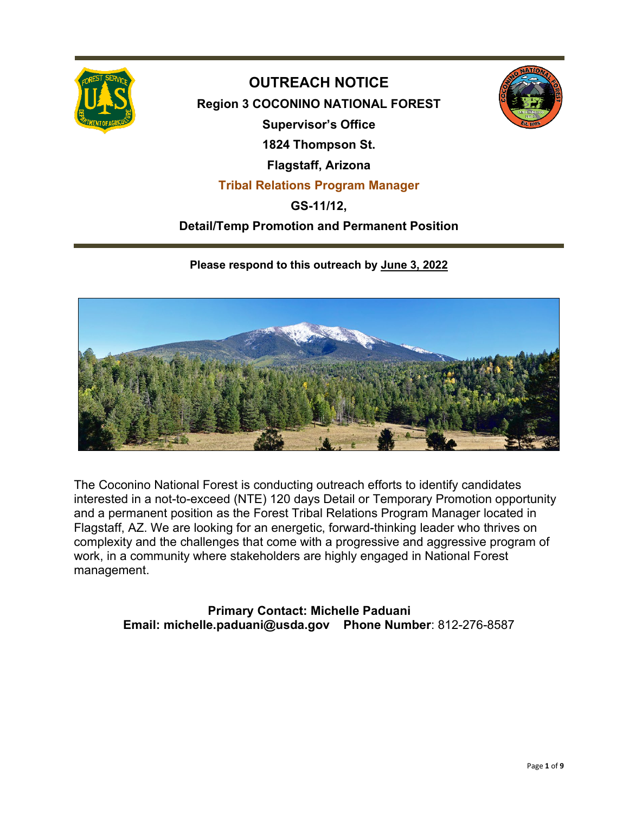

## **OUTREACH NOTICE**

**Region 3 COCONINO NATIONAL FOREST Supervisor's Office 1824 Thompson St. Flagstaff, Arizona Tribal Relations Program Manager**

## **GS-11/12,**

### **Detail/Temp Promotion and Permanent Position**

#### **Please respond to this outreach by June 3, 2022**



The Coconino National Forest is conducting outreach efforts to identify candidates interested in a not-to-exceed (NTE) 120 days Detail or Temporary Promotion opportunity and a permanent position as the Forest Tribal Relations Program Manager located in Flagstaff, AZ. We are looking for an energetic, forward-thinking leader who thrives on complexity and the challenges that come with a progressive and aggressive program of work, in a community where stakeholders are highly engaged in National Forest management.

> **Primary Contact: Michelle Paduani Email: michelle.paduani@usda.gov Phone Number**: 812-276-8587

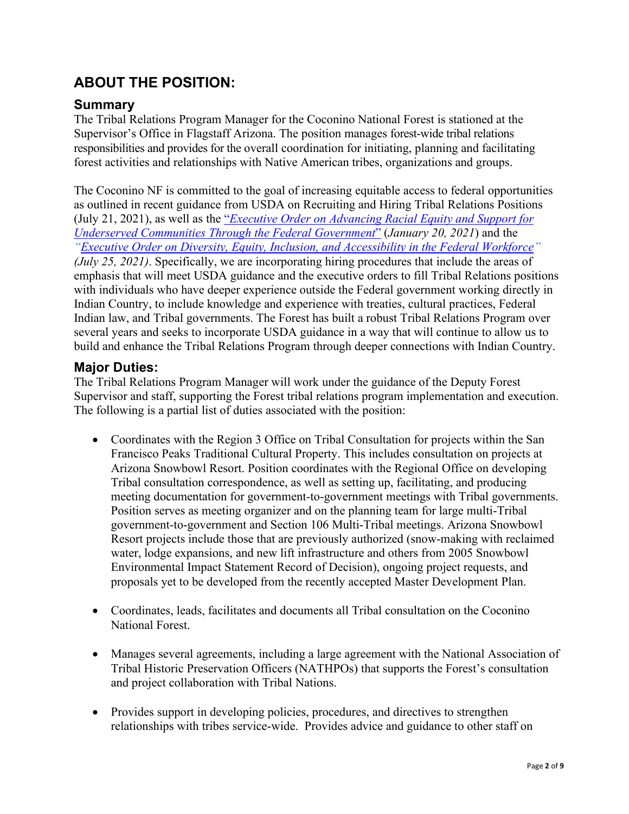# **ABOUT THE POSITION:**

#### **Summary**

The Tribal Relations Program Manager for the Coconino National Forest is stationed at the Supervisor's Office in Flagstaff Arizona. The position manages forest-wide tribal relations responsibilities and provides for the overall coordination for initiating, planning and facilitating forest activities and relationships with Native American tribes, organizations and groups.

The Coconino NF is committed to the goal of increasing equitable access to federal opportunities as outlined in recent guidance from USDA on Recruiting and Hiring Tribal Relations Positions (July 21, 2021), as well as the "*[Executive Order on Advancing Racial Equity and Support for](https://www.whitehouse.gov/briefing-room/presidential-actions/2021/01/20/executive-order-advancing-racial-equity-and-support-for-underserved-communities-through-the-federal-government/)  [Underserved Communities Through the Federal Government](https://www.whitehouse.gov/briefing-room/presidential-actions/2021/01/20/executive-order-advancing-racial-equity-and-support-for-underserved-communities-through-the-federal-government/)*" (*January 20, 2021*) and the *["Executive Order on Diversity, Equity, Inclusion, and Accessibility in the Federal Workforce"](https://www.whitehouse.gov/briefing-room/presidential-actions/2021/06/25/executive-order-on-diversity-equity-inclusion-and-accessibility-in-the-federal-workforce/) (July 25, 2021)*. Specifically, we are incorporating hiring procedures that include the areas of emphasis that will meet USDA guidance and the executive orders to fill Tribal Relations positions with individuals who have deeper experience outside the Federal government working directly in Indian Country, to include knowledge and experience with treaties, cultural practices, Federal Indian law, and Tribal governments. The Forest has built a robust Tribal Relations Program over several years and seeks to incorporate USDA guidance in a way that will continue to allow us to build and enhance the Tribal Relations Program through deeper connections with Indian Country.

#### **Major Duties:**

The Tribal Relations Program Manager will work under the guidance of the Deputy Forest Supervisor and staff, supporting the Forest tribal relations program implementation and execution. The following is a partial list of duties associated with the position:

- Coordinates with the Region 3 Office on Tribal Consultation for projects within the San Francisco Peaks Traditional Cultural Property. This includes consultation on projects at Arizona Snowbowl Resort. Position coordinates with the Regional Office on developing Tribal consultation correspondence, as well as setting up, facilitating, and producing meeting documentation for government-to-government meetings with Tribal governments. Position serves as meeting organizer and on the planning team for large multi-Tribal government-to-government and Section 106 Multi-Tribal meetings. Arizona Snowbowl Resort projects include those that are previously authorized (snow-making with reclaimed water, lodge expansions, and new lift infrastructure and others from 2005 Snowbowl Environmental Impact Statement Record of Decision), ongoing project requests, and proposals yet to be developed from the recently accepted Master Development Plan.
- Coordinates, leads, facilitates and documents all Tribal consultation on the Coconino National Forest.
- Manages several agreements, including a large agreement with the National Association of Tribal Historic Preservation Officers (NATHPOs) that supports the Forest's consultation and project collaboration with Tribal Nations.
- Provides support in developing policies, procedures, and directives to strengthen relationships with tribes service-wide. Provides advice and guidance to other staff on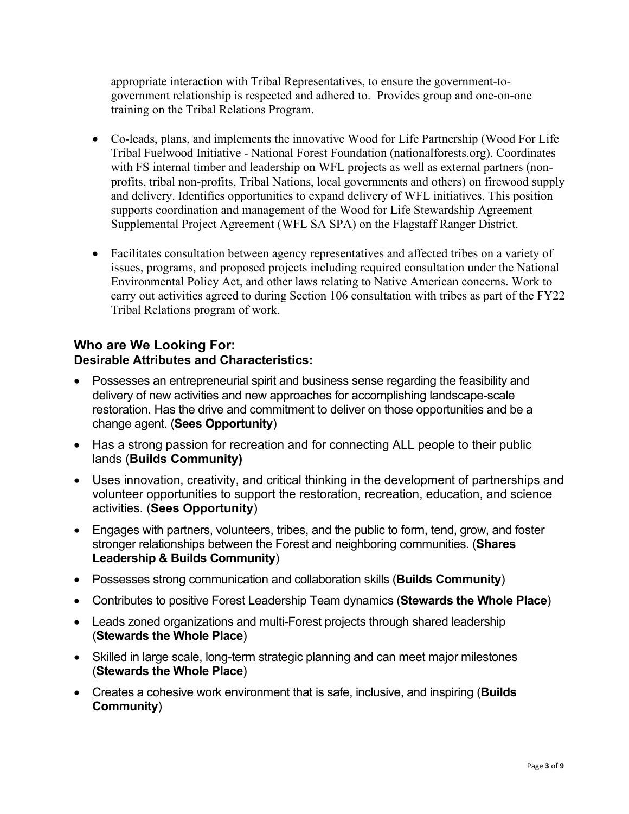appropriate interaction with Tribal Representatives, to ensure the government-togovernment relationship is respected and adhered to. Provides group and one-on-one training on the Tribal Relations Program.

- Co-leads, plans, and implements the innovative Wood for Life Partnership (Wood For Life Tribal Fuelwood Initiative - National Forest Foundation (nationalforests.org). Coordinates with FS internal timber and leadership on WFL projects as well as external partners (nonprofits, tribal non-profits, Tribal Nations, local governments and others) on firewood supply and delivery. Identifies opportunities to expand delivery of WFL initiatives. This position supports coordination and management of the Wood for Life Stewardship Agreement Supplemental Project Agreement (WFL SA SPA) on the Flagstaff Ranger District.
- Facilitates consultation between agency representatives and affected tribes on a variety of issues, programs, and proposed projects including required consultation under the National Environmental Policy Act, and other laws relating to Native American concerns. Work to carry out activities agreed to during Section 106 consultation with tribes as part of the FY22 Tribal Relations program of work.

#### **Who are We Looking For: Desirable Attributes and Characteristics:**

- Possesses an entrepreneurial spirit and business sense regarding the feasibility and delivery of new activities and new approaches for accomplishing landscape-scale restoration. Has the drive and commitment to deliver on those opportunities and be a change agent. (**Sees Opportunity**)
- Has a strong passion for recreation and for connecting ALL people to their public lands (**Builds Community)**
- Uses innovation, creativity, and critical thinking in the development of partnerships and volunteer opportunities to support the restoration, recreation, education, and science activities. (**Sees Opportunity**)
- Engages with partners, volunteers, tribes, and the public to form, tend, grow, and foster stronger relationships between the Forest and neighboring communities. (**Shares Leadership & Builds Community**)
- Possesses strong communication and collaboration skills (**Builds Community**)
- Contributes to positive Forest Leadership Team dynamics (**Stewards the Whole Place**)
- Leads zoned organizations and multi-Forest projects through shared leadership (**Stewards the Whole Place**)
- Skilled in large scale, long-term strategic planning and can meet major milestones (**Stewards the Whole Place**)
- Creates a cohesive work environment that is safe, inclusive, and inspiring (**Builds Community**)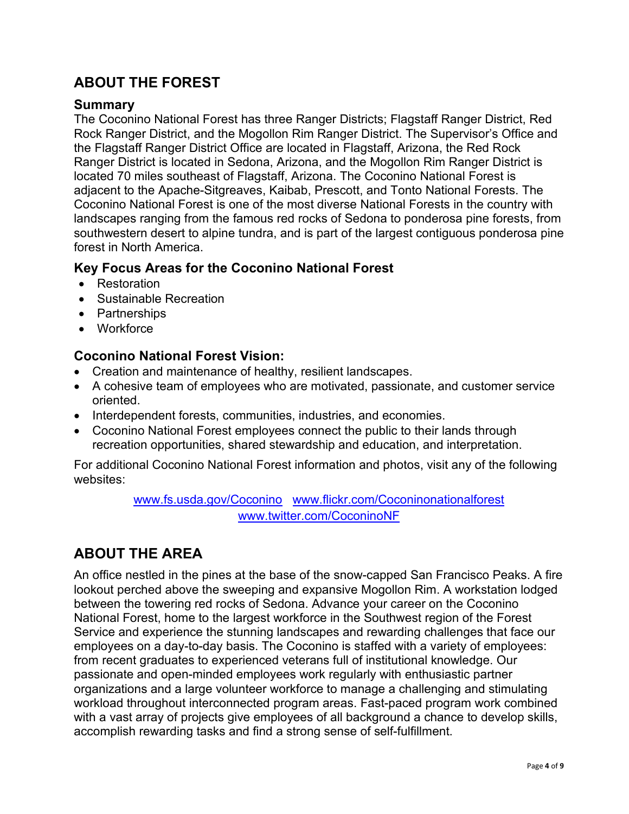# **ABOUT THE FOREST**

#### **Summary**

The Coconino National Forest has three Ranger Districts; Flagstaff Ranger District, Red Rock Ranger District, and the Mogollon Rim Ranger District. The Supervisor's Office and the Flagstaff Ranger District Office are located in Flagstaff, Arizona, the Red Rock Ranger District is located in Sedona, Arizona, and the Mogollon Rim Ranger District is located 70 miles southeast of Flagstaff, Arizona. The Coconino National Forest is adjacent to the Apache-Sitgreaves, Kaibab, Prescott, and Tonto National Forests. The Coconino National Forest is one of the most diverse National Forests in the country with landscapes ranging from the famous red rocks of Sedona to ponderosa pine forests, from southwestern desert to alpine tundra, and is part of the largest contiguous ponderosa pine forest in North America.

#### **Key Focus Areas for the Coconino National Forest**

- Restoration
- Sustainable Recreation
- Partnerships
- Workforce

#### **Coconino National Forest Vision:**

- Creation and maintenance of healthy, resilient landscapes.
- A cohesive team of employees who are motivated, passionate, and customer service oriented.
- Interdependent forests, communities, industries, and economies.
- Coconino National Forest employees connect the public to their lands through recreation opportunities, shared stewardship and education, and interpretation.

For additional Coconino National Forest information and photos, visit any of the following websites:

> [www.fs.usda.gov/Coconino](http://www.fs.usda.gov/kaibab) [www.flickr.com/Coconinonationalforest](http://www.flickr.com/kaibabnationalforest)  [www.twitter.com/CoconinoNF](http://www.twitter.com/KaibabNF)

## **ABOUT THE AREA**

An office nestled in the pines at the base of the snow-capped San Francisco Peaks. A fire lookout perched above the sweeping and expansive Mogollon Rim. A workstation lodged between the towering red rocks of Sedona. Advance your career on the Coconino National Forest, home to the largest workforce in the Southwest region of the Forest Service and experience the stunning landscapes and rewarding challenges that face our employees on a day-to-day basis. The Coconino is staffed with a variety of employees: from recent graduates to experienced veterans full of institutional knowledge. Our passionate and open-minded employees work regularly with enthusiastic partner organizations and a large volunteer workforce to manage a challenging and stimulating workload throughout interconnected program areas. Fast-paced program work combined with a vast array of projects give employees of all background a chance to develop skills, accomplish rewarding tasks and find a strong sense of self-fulfillment.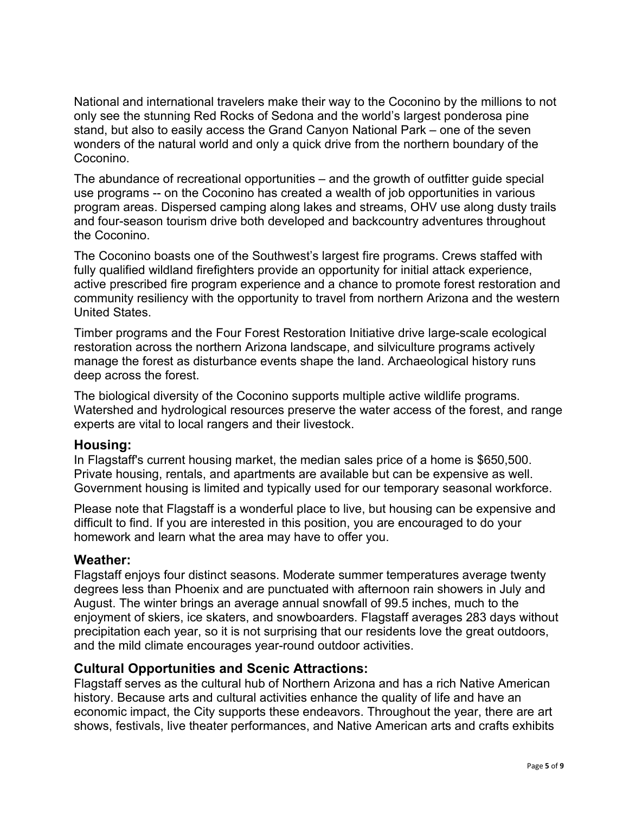National and international travelers make their way to the Coconino by the millions to not only see the stunning Red Rocks of Sedona and the world's largest ponderosa pine stand, but also to easily access the Grand Canyon National Park – one of the seven wonders of the natural world and only a quick drive from the northern boundary of the Coconino.

The abundance of recreational opportunities – and the growth of outfitter guide special use programs -- on the Coconino has created a wealth of job opportunities in various program areas. Dispersed camping along lakes and streams, OHV use along dusty trails and four-season tourism drive both developed and backcountry adventures throughout the Coconino.

The Coconino boasts one of the Southwest's largest fire programs. Crews staffed with fully qualified wildland firefighters provide an opportunity for initial attack experience, active prescribed fire program experience and a chance to promote forest restoration and community resiliency with the opportunity to travel from northern Arizona and the western United States.

Timber programs and the Four Forest Restoration Initiative drive large-scale ecological restoration across the northern Arizona landscape, and silviculture programs actively manage the forest as disturbance events shape the land. Archaeological history runs deep across the forest.

The biological diversity of the Coconino supports multiple active wildlife programs. Watershed and hydrological resources preserve the water access of the forest, and range experts are vital to local rangers and their livestock.

#### **Housing:**

In Flagstaff's current housing market, the median sales price of a home is \$650,500. Private housing, rentals, and apartments are available but can be expensive as well. Government housing is limited and typically used for our temporary seasonal workforce.

Please note that Flagstaff is a wonderful place to live, but housing can be expensive and difficult to find. If you are interested in this position, you are encouraged to do your homework and learn what the area may have to offer you.

#### **Weather:**

Flagstaff enjoys four distinct seasons. Moderate summer temperatures average twenty degrees less than Phoenix and are punctuated with afternoon rain showers in July and August. The winter brings an average annual snowfall of 99.5 inches, much to the enjoyment of skiers, ice skaters, and snowboarders. Flagstaff averages 283 days without precipitation each year, so it is not surprising that our residents love the great outdoors, and the mild climate encourages year-round outdoor activities.

#### **Cultural Opportunities and Scenic Attractions:**

Flagstaff serves as the cultural hub of Northern Arizona and has a rich Native American history. Because arts and cultural activities enhance the quality of life and have an economic impact, the City supports these endeavors. Throughout the year, there are art shows, festivals, live theater performances, and Native American arts and crafts exhibits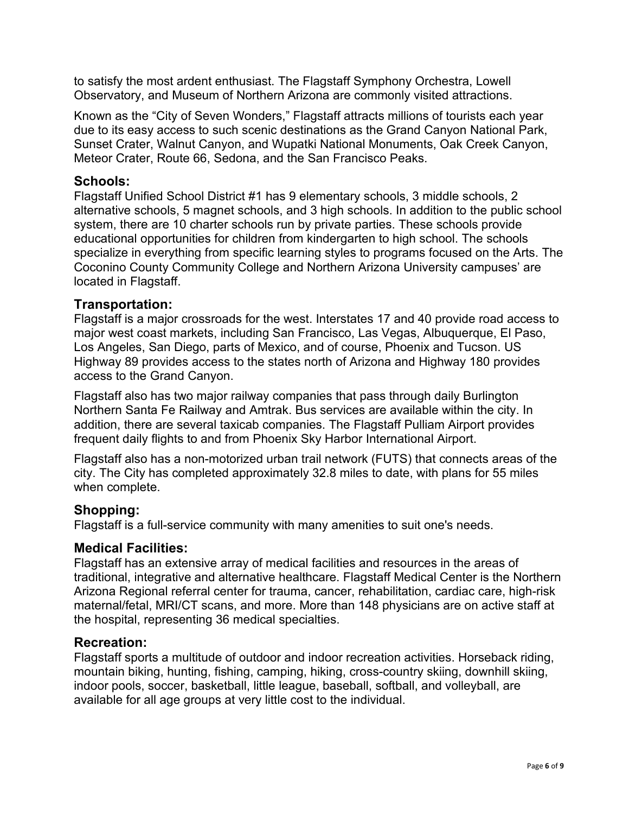to satisfy the most ardent enthusiast. The Flagstaff Symphony Orchestra, Lowell Observatory, and Museum of Northern Arizona are commonly visited attractions.

Known as the "City of Seven Wonders," Flagstaff attracts millions of tourists each year due to its easy access to such scenic destinations as the Grand Canyon National Park, Sunset Crater, Walnut Canyon, and Wupatki National Monuments, Oak Creek Canyon, Meteor Crater, Route 66, Sedona, and the San Francisco Peaks.

#### **Schools:**

Flagstaff Unified School District #1 has 9 elementary schools, 3 middle schools, 2 alternative schools, 5 magnet schools, and 3 high schools. In addition to the public school system, there are 10 charter schools run by private parties. These schools provide educational opportunities for children from kindergarten to high school. The schools specialize in everything from specific learning styles to programs focused on the Arts. The Coconino County Community College and Northern Arizona University campuses' are located in Flagstaff.

#### **Transportation:**

Flagstaff is a major crossroads for the west. Interstates 17 and 40 provide road access to major west coast markets, including San Francisco, Las Vegas, Albuquerque, El Paso, Los Angeles, San Diego, parts of Mexico, and of course, Phoenix and Tucson. US Highway 89 provides access to the states north of Arizona and Highway 180 provides access to the Grand Canyon.

Flagstaff also has two major railway companies that pass through daily Burlington Northern Santa Fe Railway and Amtrak. Bus services are available within the city. In addition, there are several taxicab companies. The Flagstaff Pulliam Airport provides frequent daily flights to and from Phoenix Sky Harbor International Airport.

Flagstaff also has a non-motorized urban trail network (FUTS) that connects areas of the city. The City has completed approximately 32.8 miles to date, with plans for 55 miles when complete.

#### **Shopping:**

Flagstaff is a full-service community with many amenities to suit one's needs.

#### **Medical Facilities:**

Flagstaff has an extensive array of medical facilities and resources in the areas of traditional, integrative and alternative healthcare. Flagstaff Medical Center is the Northern Arizona Regional referral center for trauma, cancer, rehabilitation, cardiac care, high-risk maternal/fetal, MRI/CT scans, and more. More than 148 physicians are on active staff at the hospital, representing 36 medical specialties.

#### **Recreation:**

Flagstaff sports a multitude of outdoor and indoor recreation activities. Horseback riding, mountain biking, hunting, fishing, camping, hiking, cross-country skiing, downhill skiing, indoor pools, soccer, basketball, little league, baseball, softball, and volleyball, are available for all age groups at very little cost to the individual.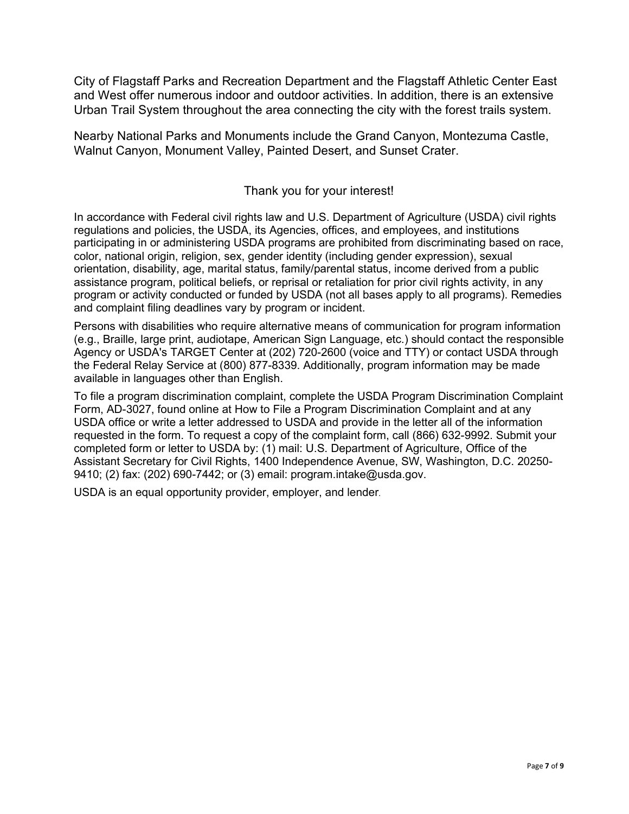City of Flagstaff Parks and Recreation Department and the Flagstaff Athletic Center East and West offer numerous indoor and outdoor activities. In addition, there is an extensive Urban Trail System throughout the area connecting the city with the forest trails system.

Nearby National Parks and Monuments include the Grand Canyon, Montezuma Castle, Walnut Canyon, Monument Valley, Painted Desert, and Sunset Crater.

#### Thank you for your interest!

In accordance with Federal civil rights law and U.S. Department of Agriculture (USDA) civil rights regulations and policies, the USDA, its Agencies, offices, and employees, and institutions participating in or administering USDA programs are prohibited from discriminating based on race, color, national origin, religion, sex, gender identity (including gender expression), sexual orientation, disability, age, marital status, family/parental status, income derived from a public assistance program, political beliefs, or reprisal or retaliation for prior civil rights activity, in any program or activity conducted or funded by USDA (not all bases apply to all programs). Remedies and complaint filing deadlines vary by program or incident.

Persons with disabilities who require alternative means of communication for program information (e.g., Braille, large print, audiotape, American Sign Language, etc.) should contact the responsible Agency or USDA's TARGET Center at (202) 720-2600 (voice and TTY) or contact USDA through the Federal Relay Service at (800) 877-8339. Additionally, program information may be made available in languages other than English.

To file a program discrimination complaint, complete the USDA Program Discrimination Complaint Form, AD-3027, found online at How to File a Program Discrimination Complaint and at any USDA office or write a letter addressed to USDA and provide in the letter all of the information requested in the form. To request a copy of the complaint form, call (866) 632-9992. Submit your completed form or letter to USDA by: (1) mail: U.S. Department of Agriculture, Office of the Assistant Secretary for Civil Rights, 1400 Independence Avenue, SW, Washington, D.C. 20250- 9410; (2) fax: (202) 690-7442; or (3) email: program.intake@usda.gov.

USDA is an equal opportunity provider, employer, and lender.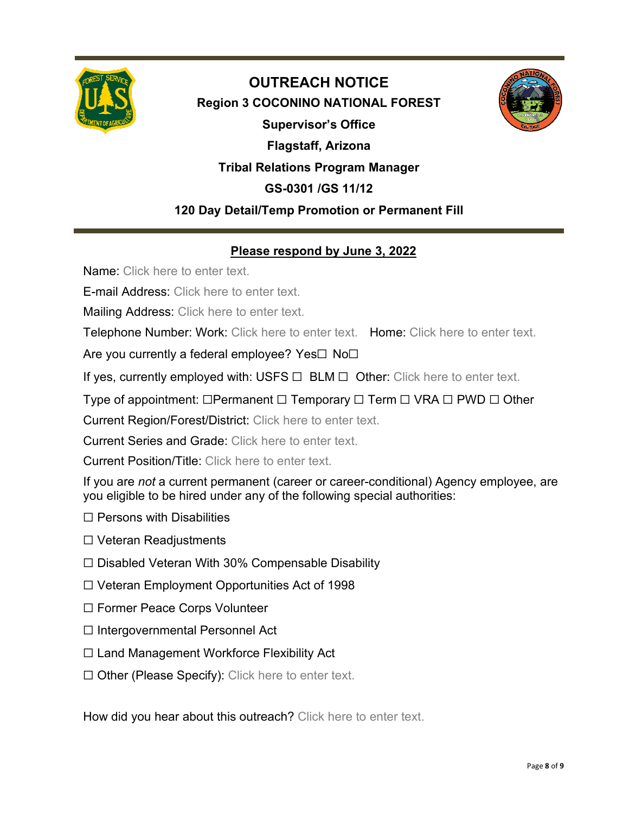

# **OUTREACH NOTICE Region 3 COCONINO NATIONAL FOREST Supervisor's Office Flagstaff, Arizona Tribal Relations Program Manager GS-0301 /GS 11/12 120 Day Detail/Temp Promotion or Permanent Fill**



## **Please respond by June 3, 2022**

Name: Click here to enter text.

E-mail Address: Click here to enter text.

Mailing Address: Click here to enter text.

Telephone Number: Work: Click here to enter text. Home: Click here to enter text.

Are you currently a federal employee? Yes□ No□

If yes, currently employed with: USFS  $\Box$  BLM  $\Box$  Other: Click here to enter text.

Type of appointment: □Permanent □ Temporary □ Term □ VRA □ PWD □ Other

Current Region/Forest/District: Click here to enter text.

Current Series and Grade: Click here to enter text.

Current Position/Title: Click here to enter text.

If you are *not* a current permanent (career or career-conditional) Agency employee, are you eligible to be hired under any of the following special authorities:

- $\Box$  Persons with Disabilities
- ☐ Veteran Readjustments
- ☐ Disabled Veteran With 30% Compensable Disability
- ☐ Veteran Employment Opportunities Act of 1998
- ☐ Former Peace Corps Volunteer
- ☐ Intergovernmental Personnel Act
- ☐ Land Management Workforce Flexibility Act
- ☐ Other (Please Specify): Click here to enter text.

How did you hear about this outreach? Click here to enter text.